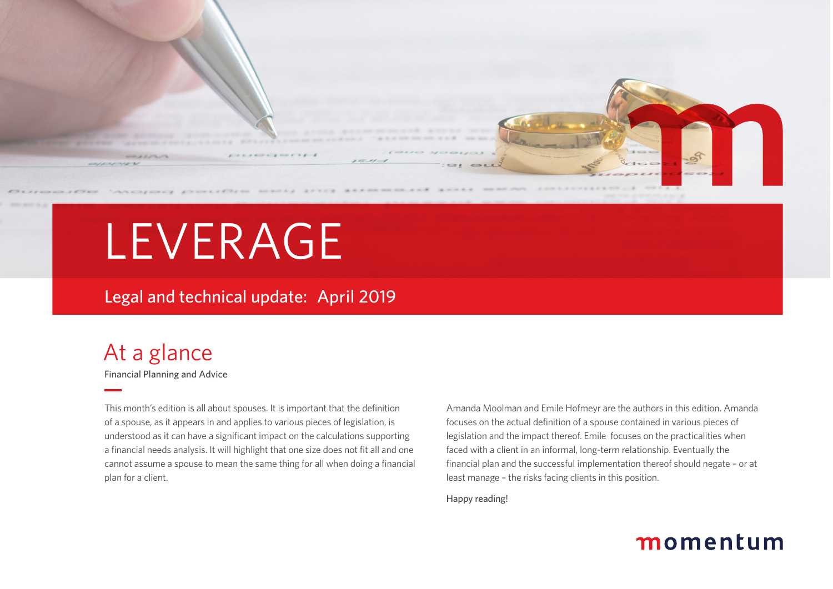

# LEVERAGE

### Legal and technical update: April 2019

## At a glance

Financial Planning and Advice

This month's edition is all about spouses. It is important that the definition of a spouse, as it appears in and applies to various pieces of legislation, is understood as it can have a significant impact on the calculations supporting a financial needs analysis. It will highlight that one size does not fit all and one cannot assume a spouse to mean the same thing for all when doing a financial plan for a client.

Amanda Moolman and Emile Hofmeyr are the authors in this edition. Amanda focuses on the actual definition of a spouse contained in various pieces of legislation and the impact thereof. Emile focuses on the practicalities when faced with a client in an informal, long-term relationship. Eventually the financial plan and the successful implementation thereof should negate – or at least manage – the risks facing clients in this position.

Happy reading!

### momentum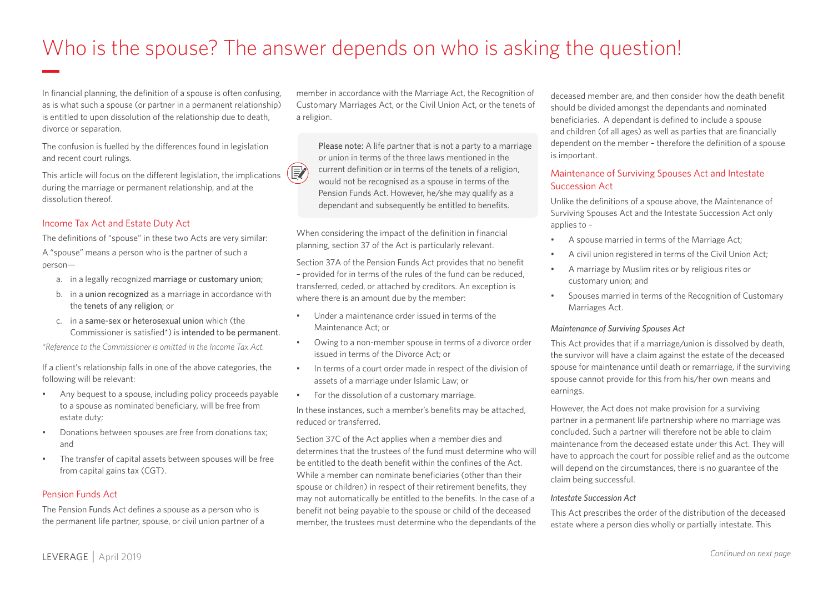## Who is the spouse? The answer depends on who is asking the question!

**F** 

In financial planning, the definition of a spouse is often confusing, as is what such a spouse (or partner in a permanent relationship) is entitled to upon dissolution of the relationship due to death, divorce or separation.

The confusion is fuelled by the differences found in legislation and recent court rulings.

This article will focus on the different legislation, the implications during the marriage or permanent relationship, and at the dissolution thereof.

### Income Tax Act and Estate Duty Act

The definitions of "spouse" in these two Acts are very similar: A "spouse" means a person who is the partner of such a person—

- a. in a legally recognized marriage or customary union;
- b. in a union recognized as a marriage in accordance with the tenets of any religion; or
- c. in a same-sex or heterosexual union which (the Commissioner is satisfied\*) is intended to be permanent.

*\*Reference to the Commissioner is omitted in the Income Tax Act.*

If a client's relationship falls in one of the above categories, the following will be relevant:

- Any bequest to a spouse, including policy proceeds payable to a spouse as nominated beneficiary, will be free from estate duty;
- Donations between spouses are free from donations tax; and
- The transfer of capital assets between spouses will be free from capital gains tax (CGT).

### Pension Funds Act

The Pension Funds Act defines a spouse as a person who is the permanent life partner, spouse, or civil union partner of a

member in accordance with the Marriage Act, the Recognition of Customary Marriages Act, or the Civil Union Act, or the tenets of a religion.

Please note: A life partner that is not a party to a marriage or union in terms of the three laws mentioned in the current definition or in terms of the tenets of a religion, would not be recognised as a spouse in terms of the Pension Funds Act. However, he/she may qualify as a dependant and subsequently be entitled to benefits.

When considering the impact of the definition in financial planning, section 37 of the Act is particularly relevant.

Section 37A of the Pension Funds Act provides that no benefit – provided for in terms of the rules of the fund can be reduced, transferred, ceded, or attached by creditors. An exception is where there is an amount due by the member:

- Under a maintenance order issued in terms of the Maintenance Act; or
- Owing to a non-member spouse in terms of a divorce order issued in terms of the Divorce Act; or
- In terms of a court order made in respect of the division of assets of a marriage under Islamic Law; or
- For the dissolution of a customary marriage.

In these instances, such a member's benefits may be attached, reduced or transferred.

Section 37C of the Act applies when a member dies and determines that the trustees of the fund must determine who will be entitled to the death benefit within the confines of the Act. While a member can nominate beneficiaries (other than their spouse or children) in respect of their retirement benefits, they may not automatically be entitled to the benefits. In the case of a benefit not being payable to the spouse or child of the deceased member, the trustees must determine who the dependants of the deceased member are, and then consider how the death benefit should be divided amongst the dependants and nominated beneficiaries. A dependant is defined to include a spouse and children (of all ages) as well as parties that are financially dependent on the member – therefore the definition of a spouse is important.

### Maintenance of Surviving Spouses Act and Intestate Succession Act

Unlike the definitions of a spouse above, the Maintenance of Surviving Spouses Act and the Intestate Succession Act only applies to –

- A spouse married in terms of the Marriage Act;
- A civil union registered in terms of the Civil Union Act;
- A marriage by Muslim rites or by religious rites or customary union; and
- Spouses married in terms of the Recognition of Customary Marriages Act.

#### *Maintenance of Surviving Spouses Act*

This Act provides that if a marriage/union is dissolved by death, the survivor will have a claim against the estate of the deceased spouse for maintenance until death or remarriage, if the surviving spouse cannot provide for this from his/her own means and earnings.

However, the Act does not make provision for a surviving partner in a permanent life partnership where no marriage was concluded. Such a partner will therefore not be able to claim maintenance from the deceased estate under this Act. They will have to approach the court for possible relief and as the outcome will depend on the circumstances, there is no guarantee of the claim being successful.

#### *Intestate Succession Act*

This Act prescribes the order of the distribution of the deceased estate where a person dies wholly or partially intestate. This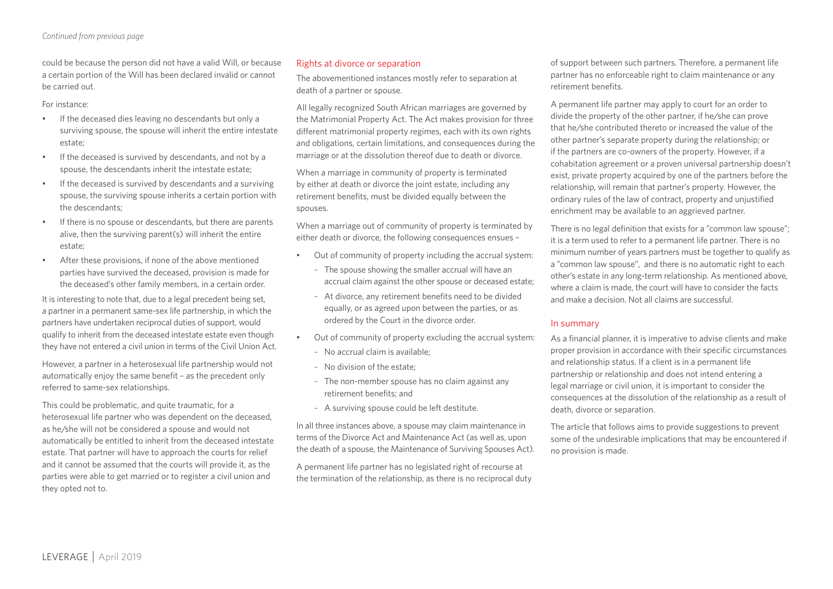#### *Continued from previous page*

could be because the person did not have a valid Will, or because a certain portion of the Will has been declared invalid or cannot be carried out.

For instance:

- If the deceased dies leaving no descendants but only a surviving spouse, the spouse will inherit the entire intestate estate;
- If the deceased is survived by descendants, and not by a spouse, the descendants inherit the intestate estate;
- If the deceased is survived by descendants and a surviving spouse, the surviving spouse inherits a certain portion with the descendants;
- If there is no spouse or descendants, but there are parents alive, then the surviving parent(s) will inherit the entire estate;
- After these provisions, if none of the above mentioned parties have survived the deceased, provision is made for the deceased's other family members, in a certain order.

It is interesting to note that, due to a legal precedent being set, a partner in a permanent same-sex life partnership, in which the partners have undertaken reciprocal duties of support, would qualify to inherit from the deceased intestate estate even though they have not entered a civil union in terms of the Civil Union Act.

However, a partner in a heterosexual life partnership would not automatically enjoy the same benefit – as the precedent only referred to same-sex relationships.

This could be problematic, and quite traumatic, for a heterosexual life partner who was dependent on the deceased, as he/she will not be considered a spouse and would not automatically be entitled to inherit from the deceased intestate estate. That partner will have to approach the courts for relief and it cannot be assumed that the courts will provide it, as the parties were able to get married or to register a civil union and they opted not to.

#### Rights at divorce or separation

The abovementioned instances mostly refer to separation at death of a partner or spouse.

All legally recognized South African marriages are governed by the Matrimonial Property Act. The Act makes provision for three different matrimonial property regimes, each with its own rights and obligations, certain limitations, and consequences during the marriage or at the dissolution thereof due to death or divorce.

When a marriage in community of property is terminated by either at death or divorce the joint estate, including any retirement benefits, must be divided equally between the spouses.

When a marriage out of community of property is terminated by either death or divorce, the following consequences ensues –

- Out of community of property including the accrual system:
	- The spouse showing the smaller accrual will have an accrual claim against the other spouse or deceased estate;
	- At divorce, any retirement benefits need to be divided equally, or as agreed upon between the parties, or as ordered by the Court in the divorce order.
- Out of community of property excluding the accrual system:
	- No accrual claim is available;
	- No division of the estate;
	- The non-member spouse has no claim against any retirement benefits; and
	- A surviving spouse could be left destitute.

In all three instances above, a spouse may claim maintenance in terms of the Divorce Act and Maintenance Act (as well as, upon the death of a spouse, the Maintenance of Surviving Spouses Act).

A permanent life partner has no legislated right of recourse at the termination of the relationship, as there is no reciprocal duty of support between such partners. Therefore, a permanent life partner has no enforceable right to claim maintenance or any retirement benefits.

A permanent life partner may apply to court for an order to divide the property of the other partner, if he/she can prove that he/she contributed thereto or increased the value of the other partner's separate property during the relationship; or if the partners are co-owners of the property. However, if a cohabitation agreement or a proven universal partnership doesn't exist, private property acquired by one of the partners before the relationship, will remain that partner's property. However, the ordinary rules of the law of contract, property and unjustified enrichment may be available to an aggrieved partner.

There is no legal definition that exists for a "common law spouse": it is a term used to refer to a permanent life partner. There is no minimum number of years partners must be together to qualify as a "common law spouse", and there is no automatic right to each other's estate in any long-term relationship. As mentioned above, where a claim is made, the court will have to consider the facts and make a decision. Not all claims are successful.

#### In summary

As a financial planner, it is imperative to advise clients and make proper provision in accordance with their specific circumstances and relationship status. If a client is in a permanent life partnership or relationship and does not intend entering a legal marriage or civil union, it is important to consider the consequences at the dissolution of the relationship as a result of death, divorce or separation.

The article that follows aims to provide suggestions to prevent some of the undesirable implications that may be encountered if no provision is made.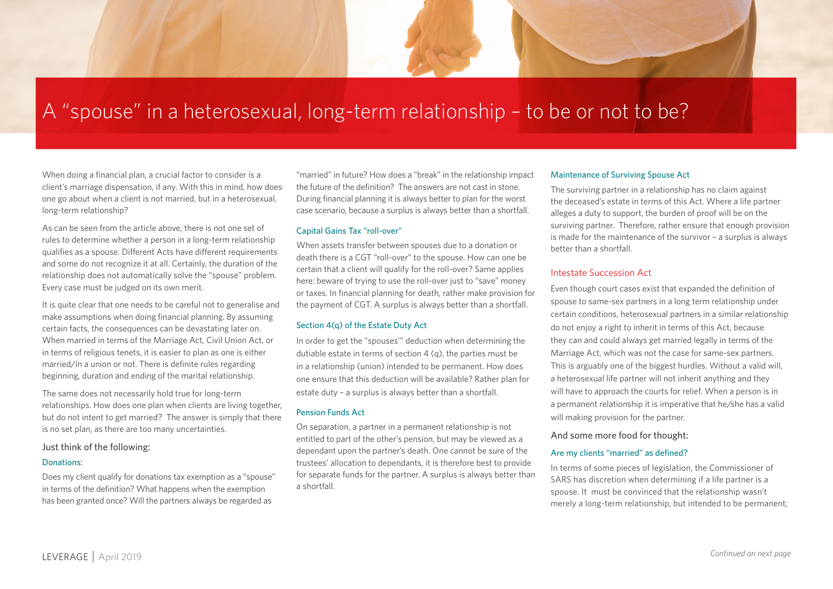### A "spouse" in a heterosexual, long-term relationship – to be or not to be?

When doing a financial plan, a crucial factor to consider is a client's marriage dispensation, if any. With this in mind, how does one go about when a client is not married, but in a heterosexual, long-term relationship?

As can be seen from the article above, there is not one set of rules to determine whether a person in a long-term relationship qualifies as a spouse. Different Acts have different requirements and some do not recognize it at all. Certainly, the duration of the relationship does not automatically solve the "spouse" problem. Every case must be judged on its own merit.

It is quite clear that one needs to be careful not to generalise and make assumptions when doing financial planning. By assuming certain facts, the consequences can be devastating later on. When married in terms of the Marriage Act, Civil Union Act, or in terms of religious tenets, it is easier to plan as one is either married/in a union or not. There is definite rules regarding beginning, duration and ending of the marital relationship.

The same does not necessarily hold true for long-term relationships. How does one plan when clients are living together, but do not intent to get married? The answer is simply that there is no set plan, as there are too many uncertainties.

#### Just think of the following:

#### Donations:

Does my client qualify for donations tax exemption as a "spouse" in terms of the definition? What happens when the exemption has been granted once? Will the partners always be regarded as

"married" in future? How does a "break" in the relationship impact the future of the definition? The answers are not cast in stone. During financial planning it is always better to plan for the worst case scenario, because a surplus is always better than a shortfall.

#### Capital Gains Tax "roll-over"

When assets transfer between spouses due to a donation or death there is a CGT "roll-over" to the spouse. How can one be certain that a client will qualify for the roll-over? Same applies here: beware of trying to use the roll-over just to "save" money or taxes. In financial planning for death, rather make provision for the payment of CGT. A surplus is always better than a shortfall.

#### Section 4(q) of the Estate Duty Act

In order to get the "spouses'" deduction when determining the dutiable estate in terms of section 4 (q), the parties must be in a relationship (union) intended to be permanent. How does one ensure that this deduction will be available? Rather plan for estate duty – a surplus is always better than a shortfall.

#### Pension Funds Act

On separation, a partner in a permanent relationship is not entitled to part of the other's pension, but may be viewed as a dependant upon the partner's death. One cannot be sure of the trustees' allocation to dependants, it is therefore best to provide for separate funds for the partner. A surplus is always better than a shortfall.

#### Maintenance of Surviving Spouse Act

The surviving partner in a relationship has no claim against the deceased's estate in terms of this Act. Where a life partner alleges a duty to support, the burden of proof will be on the surviving partner. Therefore, rather ensure that enough provision is made for the maintenance of the survivor – a surplus is always better than a shortfall.

#### Intestate Succession Act

Even though court cases exist that expanded the definition of spouse to same-sex partners in a long term relationship under certain conditions, heterosexual partners in a similar relationship do not enjoy a right to inherit in terms of this Act, because they can and could always get married legally in terms of the Marriage Act, which was not the case for same-sex partners. This is arguably one of the biggest hurdles. Without a valid will, a heterosexual life partner will not inherit anything and they will have to approach the courts for relief. When a person is in a permanent relationship it is imperative that he/she has a valid will making provision for the partner.

#### And some more food for thought:

#### Are my clients "married" as defined?

In terms of some pieces of legislation, the Commissioner of SARS has discretion when determining if a life partner is a spouse. It must be convinced that the relationship wasn't merely a long-term relationship, but intended to be permanent;